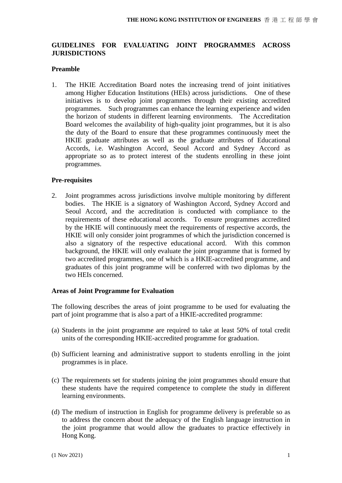# **GUIDELINES FOR EVALUATING JOINT PROGRAMMES ACROSS JURISDICTIONS**

### **Preamble**

1. The HKIE Accreditation Board notes the increasing trend of joint initiatives among Higher Education Institutions (HEIs) across jurisdictions. One of these initiatives is to develop joint programmes through their existing accredited programmes. Such programmes can enhance the learning experience and widen the horizon of students in different learning environments. The Accreditation Board welcomes the availability of high-quality joint programmes, but it is also the duty of the Board to ensure that these programmes continuously meet the HKIE graduate attributes as well as the graduate attributes of Educational Accords, i.e. Washington Accord, Seoul Accord and Sydney Accord as appropriate so as to protect interest of the students enrolling in these joint programmes.

### **Pre-requisites**

2. Joint programmes across jurisdictions involve multiple monitoring by different bodies. The HKIE is a signatory of Washington Accord, Sydney Accord and Seoul Accord, and the accreditation is conducted with compliance to the requirements of these educational accords. To ensure programmes accredited by the HKIE will continuously meet the requirements of respective accords, the HKIE will only consider joint programmes of which the jurisdiction concerned is also a signatory of the respective educational accord. With this common background, the HKIE will only evaluate the joint programme that is formed by two accredited programmes, one of which is a HKIE-accredited programme, and graduates of this joint programme will be conferred with two diplomas by the two HEIs concerned.

#### **Areas of Joint Programme for Evaluation**

The following describes the areas of joint programme to be used for evaluating the part of joint programme that is also a part of a HKIE-accredited programme:

- (a) Students in the joint programme are required to take at least 50% of total credit units of the corresponding HKIE-accredited programme for graduation.
- (b) Sufficient learning and administrative support to students enrolling in the joint programmes is in place.
- (c) The requirements set for students joining the joint programmes should ensure that these students have the required competence to complete the study in different learning environments.
- (d) The medium of instruction in English for programme delivery is preferable so as to address the concern about the adequacy of the English language instruction in the joint programme that would allow the graduates to practice effectively in Hong Kong.